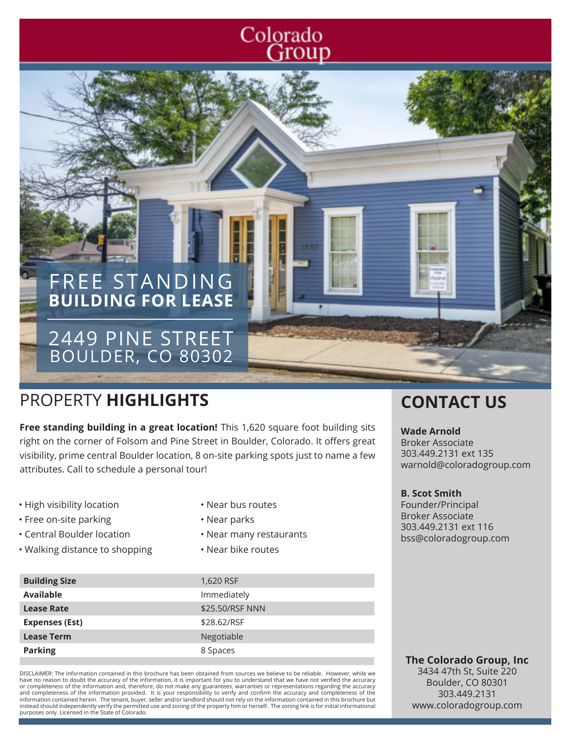# Colorado Group

# FREE STANDING **BUILDING FOR LEASE**

## 2449 PINE STREET BOULDER, CO 80302

# PROPERTY **HIGHLIGHTS CONTACT US**

**Free standing building in a great location!** This 1,620 square foot building sits right on the corner of Folsom and Pine Street in Boulder, Colorado. It offers great visibility, prime central Boulder location, 8 on-site parking spots just to name a few attributes. Call to schedule a personal tour!

- High visibility location
- Free on-site parking
- Central Boulder location
- Walking distance to shopping
- Near bus routes
- Near parks
- Near many restaurants
- Near bike routes

### **Wade Arnold**

Broker Associate 303.449.2131 ext 135 warnold@coloradogroup.com

#### **B. Scot Smith**

Founder/Principal Broker Associate 303.449.2131 ext 116 bss@coloradogroup.com

| <b>Building Size</b>  | 1,620 RSF       |
|-----------------------|-----------------|
| Available             | Immediately     |
| <b>Lease Rate</b>     | \$25.50/RSF NNN |
| <b>Expenses (Est)</b> | \$28.62/RSF     |
| <b>Lease Term</b>     | Negotiable      |
| <b>Parking</b>        | 8 Spaces        |

DISCLAIMER: The information contained in this brochure has been obtained from sources we believe to be reliable. However, while we have no reason to doubt the accuracy of the information, it is important for you to understand that we have not verified the accuracy or completeness of the information and, therefore, do not make any guarantees, warranties or representations regarding the accuracy<br>and completeness of the information provided. It is your responsibility to verify and con information contained herein. The tenant, buyer, seller and/or landlord should not rely on the information contained in this brochure but instead should independently verify the permitted use and zoning of the property him or herself. The zoning link is for initial informational purposes only. Licensed in the State of Colorado.

#### **The Colorado Group, Inc** 3434 47th St, Suite 220 Boulder, CO 80301 303.449.2131

www.coloradogroup.com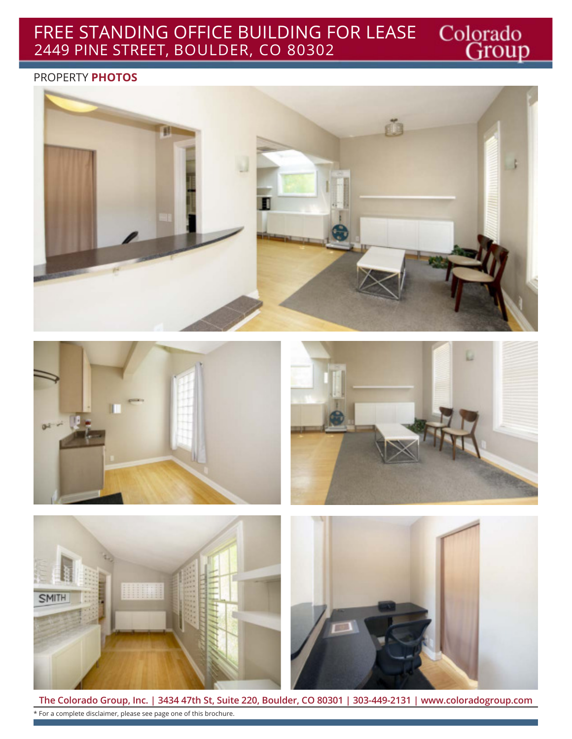### Colorado<br>Group FREE STANDING OFFICE BUILDING FOR LEASE 2449 PINE STREET, BOULDER, CO 80302

### PROPERTY **PHOTOS**









**The Colorado Group, Inc. | 3434 47th St, Suite 220, Boulder, CO 80301 | 303-449-2131 | www.coloradogroup.com** \* For a complete disclaimer, please see page one of this brochure.